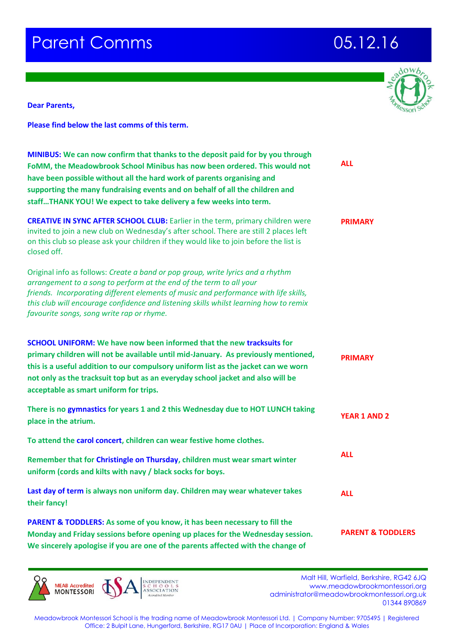## **Parent Comms 2006 12.16**



**Dear Parents,**

**Please find below the last comms of this term.** 

| MINIBUS: We can now confirm that thanks to the deposit paid for by you through<br>FoMM, the Meadowbrook School Minibus has now been ordered. This would not<br>have been possible without all the hard work of parents organising and<br>supporting the many fundraising events and on behalf of all the children and<br>staffTHANK YOU! We expect to take delivery a few weeks into term. | <b>ALL</b>                   |
|--------------------------------------------------------------------------------------------------------------------------------------------------------------------------------------------------------------------------------------------------------------------------------------------------------------------------------------------------------------------------------------------|------------------------------|
| <b>CREATIVE IN SYNC AFTER SCHOOL CLUB:</b> Earlier in the term, primary children were<br>invited to join a new club on Wednesday's after school. There are still 2 places left<br>on this club so please ask your children if they would like to join before the list is<br>closed off.                                                                                                    | <b>PRIMARY</b>               |
| Original info as follows: Create a band or pop group, write lyrics and a rhythm<br>arrangement to a song to perform at the end of the term to all your<br>friends. Incorporating different elements of music and performance with life skills,<br>this club will encourage confidence and listening skills whilst learning how to remix<br>favourite songs, song write rap or rhyme.       |                              |
| <b>SCHOOL UNIFORM:</b> We have now been informed that the new tracksuits for<br>primary children will not be available until mid-January. As previously mentioned,<br>this is a useful addition to our compulsory uniform list as the jacket can we worn<br>not only as the tracksuit top but as an everyday school jacket and also will be<br>acceptable as smart uniform for trips.      | <b>PRIMARY</b>               |
| There is no gymnastics for years 1 and 2 this Wednesday due to HOT LUNCH taking<br>place in the atrium.                                                                                                                                                                                                                                                                                    | <b>YEAR 1 AND 2</b>          |
| To attend the carol concert, children can wear festive home clothes.                                                                                                                                                                                                                                                                                                                       |                              |
| Remember that for Christingle on Thursday, children must wear smart winter<br>uniform (cords and kilts with navy / black socks for boys.                                                                                                                                                                                                                                                   | <b>ALL</b>                   |
| Last day of term is always non uniform day. Children may wear whatever takes<br>their fancy!                                                                                                                                                                                                                                                                                               | <b>ALL</b>                   |
| PARENT & TODDLERS: As some of you know, it has been necessary to fill the<br>Monday and Friday sessions before opening up places for the Wednesday session.<br>We sincerely apologise if you are one of the parents affected with the change of                                                                                                                                            | <b>PARENT &amp; TODDLERS</b> |

**MONTESSORI** 

Malt Hill, Warfield, Berkshire, RG42 6JQ<br>MONTESSORI SCHOOLS WWW.meadowbrookmontessori.org<br>MONTESSORI ASSOCIATION www.meadowbrookmontessori.org [administrator@meadowbrookmontessori.org.uk](mailto:administrator@meadowbrookmontessori.org.uk) 01344 890869

Meadowbrook Montessori School is the trading name of Meadowbrook Montessori Ltd. | Company Number: 9705495 | Registered Office: 2 Bulpit Lane, Hungerford, Berkshire, RG17 0AU | Place of Incorporation: England & Wales